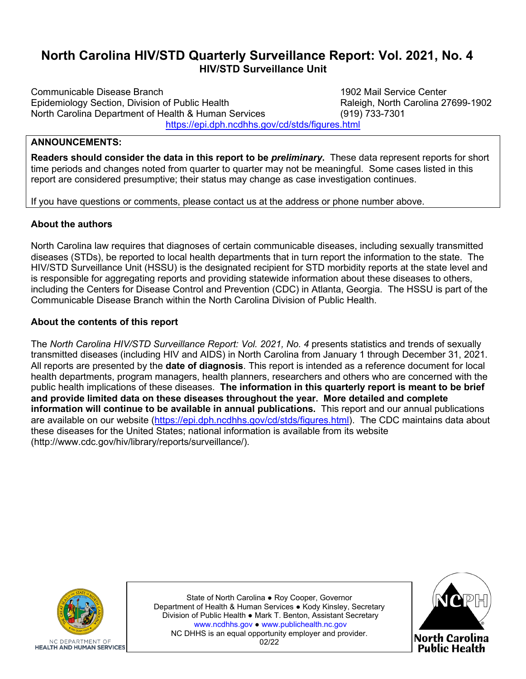# **North Carolina HIV/STD Quarterly Surveillance Report: Vol. 2021, No. 4 HIV/STD Surveillance Unit**

Communicable Disease Branch 1902 Mail Service Center Epidemiology Section, Division of Public Health Interviewed and Raleigh, North C<br>North Carolina Department of Health & Human Services Intervention (919) 733-7301 North Carolina Department of Health & Human Services <https://epi.dph.ncdhhs.gov/cd/stds/figures.html>

## **ANNOUNCEMENTS:**

**Readers should consider the data in this report to be** *preliminary***.** These data represent reports for short time periods and changes noted from quarter to quarter may not be meaningful. Some cases listed in this report are considered presumptive; their status may change as case investigation continues.

If you have questions or comments, please contact us at the address or phone number above.

#### **About the authors**

North Carolina law requires that diagnoses of certain communicable diseases, including sexually transmitted diseases (STDs), be reported to local health departments that in turn report the information to the state. The HIV/STD Surveillance Unit (HSSU) is the designated recipient for STD morbidity reports at the state level and is responsible for aggregating reports and providing statewide information about these diseases to others, including the Centers for Disease Control and Prevention (CDC) in Atlanta, Georgia. The HSSU is part of the Communicable Disease Branch within the North Carolina Division of Public Health.

### **About the contents of this report**

The *North Carolina HIV/STD Surveillance Report: Vol. 2021, No. 4* presents statistics and trends of sexually transmitted diseases (including HIV and AIDS) in North Carolina from January 1 through December 31, 2021. All reports are presented by the **date of diagnosis**. This report is intended as a reference document for local health departments, program managers, health planners, researchers and others who are concerned with the public health implications of these diseases. **The information in this quarterly report is meant to be brief and provide limited data on these diseases throughout the year. More detailed and complete information will continue to be available in annual publications.** This report and our annual publications are available on our website [\(https://epi.dph.ncdhhs.gov/cd/stds/figures.html\)](https://epi.dph.ncdhhs.gov/cd/stds/figures.html). The CDC maintains data about these diseases for the United States; national information is available from its website (http://www.cdc.gov/hiv/library/reports/surveillance/).



State of North Carolina ● Roy Cooper, Governor Department of Health & Human Services ● Kody Kinsley, Secretary Division of Public Health ● Mark T. Benton, Assistant Secretary [www.ncdhhs.gov](https://www.ncdhhs.gov/) ● [www.publichealth.nc.gov](https://publichealth.nc.gov/) NC DHHS is an equal opportunity employer and provider. 02/22

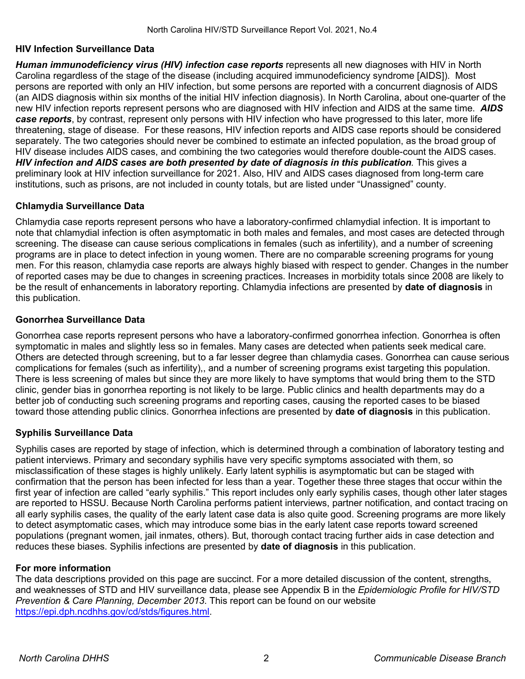## **HIV Infection Surveillance Data**

*Human immunodeficiency virus (HIV) infection case reports* represents all new diagnoses with HIV in North Carolina regardless of the stage of the disease (including acquired immunodeficiency syndrome [AIDS]). Most persons are reported with only an HIV infection, but some persons are reported with a concurrent diagnosis of AIDS (an AIDS diagnosis within six months of the initial HIV infection diagnosis). In North Carolina, about one-quarter of the new HIV infection reports represent persons who are diagnosed with HIV infection and AIDS at the same time. *AIDS case reports*, by contrast, represent only persons with HIV infection who have progressed to this later, more life threatening, stage of disease. For these reasons, HIV infection reports and AIDS case reports should be considered separately. The two categories should never be combined to estimate an infected population, as the broad group of HIV disease includes AIDS cases, and combining the two categories would therefore double-count the AIDS cases. *HIV infection and AIDS cases are both presented by date of diagnosis in this publication.* This gives a preliminary look at HIV infection surveillance for 2021. Also, HIV and AIDS cases diagnosed from long-term care institutions, such as prisons, are not included in county totals, but are listed under "Unassigned" county.

# **Chlamydia Surveillance Data**

Chlamydia case reports represent persons who have a laboratory-confirmed chlamydial infection. It is important to note that chlamydial infection is often asymptomatic in both males and females, and most cases are detected through screening. The disease can cause serious complications in females (such as infertility), and a number of screening programs are in place to detect infection in young women. There are no comparable screening programs for young men. For this reason, chlamydia case reports are always highly biased with respect to gender. Changes in the number of reported cases may be due to changes in screening practices. Increases in morbidity totals since 2008 are likely to be the result of enhancements in laboratory reporting. Chlamydia infections are presented by **date of diagnosis** in this publication.

## **Gonorrhea Surveillance Data**

Gonorrhea case reports represent persons who have a laboratory-confirmed gonorrhea infection. Gonorrhea is often symptomatic in males and slightly less so in females. Many cases are detected when patients seek medical care. Others are detected through screening, but to a far lesser degree than chlamydia cases. Gonorrhea can cause serious complications for females (such as infertility),, and a number of screening programs exist targeting this population. There is less screening of males but since they are more likely to have symptoms that would bring them to the STD clinic, gender bias in gonorrhea reporting is not likely to be large. Public clinics and health departments may do a better job of conducting such screening programs and reporting cases, causing the reported cases to be biased toward those attending public clinics. Gonorrhea infections are presented by **date of diagnosis** in this publication.

# **Syphilis Surveillance Data**

Syphilis cases are reported by stage of infection, which is determined through a combination of laboratory testing and patient interviews. Primary and secondary syphilis have very specific symptoms associated with them, so misclassification of these stages is highly unlikely. Early latent syphilis is asymptomatic but can be staged with confirmation that the person has been infected for less than a year. Together these three stages that occur within the first year of infection are called "early syphilis." This report includes only early syphilis cases, though other later stages are reported to HSSU. Because North Carolina performs patient interviews, partner notification, and contact tracing on all early syphilis cases, the quality of the early latent case data is also quite good. Screening programs are more likely to detect asymptomatic cases, which may introduce some bias in the early latent case reports toward screened populations (pregnant women, jail inmates, others). But, thorough contact tracing further aids in case detection and reduces these biases. Syphilis infections are presented by **date of diagnosis** in this publication.

### **For more information**

The data descriptions provided on this page are succinct. For a more detailed discussion of the content, strengths, and weaknesses of STD and HIV surveillance data, please see Appendix B in the *Epidemiologic Profile for HIV/STD Prevention & Care Planning, December 2013*. This report can be found on our website [https://epi.dph.ncdhhs.gov/cd/stds/figures.html.](https://epi.dph.ncdhhs.gov/cd/stds/figures.html)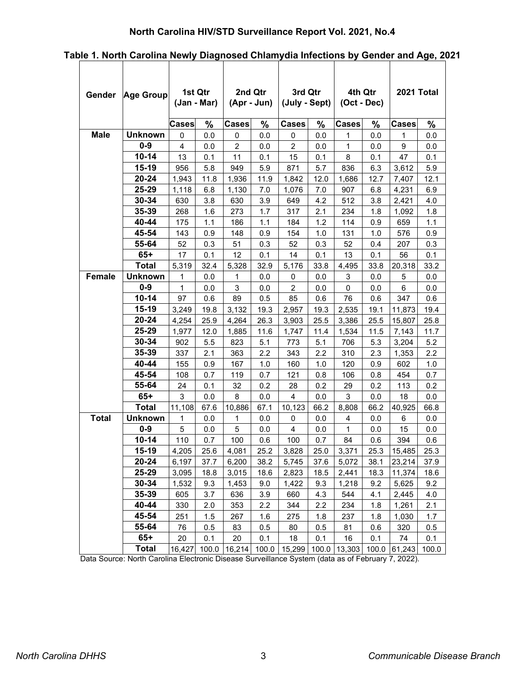# **North Carolina HIV/STD Surveillance Report Vol. 2021, No.4**

| Gender       | Age Group      | 1st Qtr<br>(Jan - Mar) |       | 2nd Qtr        | $(Apr - Jun)$ | 3rd Qtr<br>(July - Sept) |       | (Oct - Dec)    | 4th Qtr | 2021 Total       |       |
|--------------|----------------|------------------------|-------|----------------|---------------|--------------------------|-------|----------------|---------|------------------|-------|
|              |                | <b>Cases</b>           | %     | <b>Cases</b>   | $\%$          | <b>Cases</b>             | $\%$  | <b>Cases</b>   | $\%$    | <b>Cases</b>     | $\%$  |
| <b>Male</b>  | <b>Unknown</b> | 0                      | 0.0   | 0              | 0.0           | 0                        | 0.0   | 1              | 0.0     | 1                | 0.0   |
|              | $0 - 9$        | $\overline{4}$         | 0.0   | $\overline{2}$ | 0.0           | $\overline{c}$           | 0.0   | $\mathbf{1}$   | 0.0     | $\boldsymbol{9}$ | 0.0   |
|              | $10 - 14$      | 13                     | 0.1   | 11             | 0.1           | 15                       | 0.1   | 8              | 0.1     | 47               | 0.1   |
|              | $15-19$        | 956                    | 5.8   | 949            | 5.9           | 871                      | 5.7   | 836            | 6.3     | 3,612            | 5.9   |
|              | 20-24          | 1,943                  | 11.8  | 1,936          | 11.9          | 1,842                    | 12.0  | 1,686          | 12.7    | 7,407            | 12.1  |
|              | 25-29          | 1,118                  | 6.8   | 1,130          | 7.0           | 1,076                    | 7.0   | 907            | 6.8     | 4,231            | 6.9   |
|              | $30 - 34$      | 630                    | 3.8   | 630            | 3.9           | 649                      | 4.2   | 512            | 3.8     | 2,421            | 4.0   |
|              | 35-39          | 268                    | 1.6   | 273            | 1.7           | 317                      | 2.1   | 234            | 1.8     | 1,092            | 1.8   |
|              | 40-44          | 175                    | 1.1   | 186            | 1.1           | 184                      | 1.2   | 114            | 0.9     | 659              | 1.1   |
|              | 45-54          | 143                    | 0.9   | 148            | 0.9           | 154                      | 1.0   | 131            | 1.0     | 576              | 0.9   |
|              | 55-64          | 52                     | 0.3   | 51             | 0.3           | 52                       | 0.3   | 52             | 0.4     | 207              | 0.3   |
|              | $65+$          | 17                     | 0.1   | 12             | 0.1           | 14                       | 0.1   | 13             | 0.1     | 56               | 0.1   |
|              | <b>Total</b>   | 5,319                  | 32.4  | 5,328          | 32.9          | 5,176                    | 33.8  | 4,495          | 33.8    | 20,318           | 33.2  |
| Female       | <b>Unknown</b> | 1                      | 0.0   | 1              | 0.0           | 0                        | 0.0   | 3              | 0.0     | 5                | 0.0   |
|              | $0 - 9$        | $\mathbf{1}$           | 0.0   | 3              | 0.0           | $\overline{c}$           | 0.0   | 0              | 0.0     | 6                | 0.0   |
|              | $10 - 14$      | 97                     | 0.6   | 89             | 0.5           | 85                       | 0.6   | 76             | 0.6     | 347              | 0.6   |
|              | $15-19$        | 3,249                  | 19.8  | 3,132          | 19.3          | 2,957                    | 19.3  | 2,535          | 19.1    | 11,873           | 19.4  |
|              | 20-24          | 4,254                  | 25.9  | 4,264          | 26.3          | 3,903                    | 25.5  | 3,386          | 25.5    | 15,807           | 25.8  |
|              | 25-29          | 1,977                  | 12.0  | 1,885          | 11.6          | 1,747                    | 11.4  | 1,534          | 11.5    | 7,143            | 11.7  |
|              | 30-34          | 902                    | 5.5   | 823            | 5.1           | 773                      | 5.1   | 706            | 5.3     | 3,204            | 5.2   |
|              | 35-39          | 337                    | 2.1   | 363            | 2.2           | 343                      | 2.2   | 310            | 2.3     | 1,353            | 2.2   |
|              | 40-44          | 155                    | 0.9   | 167            | 1.0           | 160                      | 1.0   | 120            | 0.9     | 602              | 1.0   |
|              | 45-54          | 108                    | 0.7   | 119            | 0.7           | 121                      | 0.8   | 106            | 0.8     | 454              | 0.7   |
|              | 55-64          | 24                     | 0.1   | 32             | 0.2           | 28                       | 0.2   | 29             | 0.2     | 113              | 0.2   |
|              | $65+$          | 3                      | 0.0   | 8              | 0.0           | 4                        | 0.0   | 3              | 0.0     | 18               | 0.0   |
|              | <b>Total</b>   | 11,108                 | 67.6  | 10,886         | 67.1          | 10,123                   | 66.2  | 8,808          | 66.2    | 40,925           | 66.8  |
| <b>Total</b> | <b>Unknown</b> | $\mathbf{1}$           | 0.0   | 1              | 0.0           | 0                        | 0.0   | $\overline{4}$ | 0.0     | 6                | 0.0   |
|              | $0-9$          | 5                      | 0.0   | 5              | 0.0           | $\overline{4}$           | 0.0   | $\mathbf{1}$   | 0.0     | 15               | 0.0   |
|              | $10 - 14$      | 110                    | 0.7   | 100            | 0.6           | 100                      | 0.7   | 84             | 0.6     | 394              | 0.6   |
|              | $15-19$        | 4,205                  | 25.6  | 4,081          | 25.2          | 3,828                    | 25.0  | 3,371          | 25.3    | 15,485           | 25.3  |
|              | 20-24          | 6,197                  | 37.7  | 6,200          | 38.2          | 5,745                    | 37.6  | 5,072          | 38.1    | 23,214           | 37.9  |
|              | 25-29          | 3,095                  | 18.8  | 3,015          | 18.6          | 2,823                    | 18.5  | 2,441          | 18.3    | 11,374           | 18.6  |
|              | $30 - 34$      | 1,532                  | 9.3   | 1,453          | 9.0           | 1,422                    | 9.3   | 1,218          | 9.2     | 5,625            | 9.2   |
|              | 35-39          | 605                    | 3.7   | 636            | 3.9           | 660                      | 4.3   | 544            | 4.1     | 2,445            | 4.0   |
|              | 40-44          | 330                    | 2.0   | 353            | 2.2           | 344                      | 2.2   | 234            | 1.8     | 1,261            | 2.1   |
|              | 45-54          | 251                    | 1.5   | 267            | 1.6           | 275                      | 1.8   | 237            | 1.8     | 1,030            | 1.7   |
|              | 55-64          | 76                     | 0.5   | 83             | 0.5           | 80                       | 0.5   | 81             | 0.6     | 320              | 0.5   |
|              | $65+$          | 20                     | 0.1   | 20             | 0.1           | 18                       | 0.1   | 16             | 0.1     | 74               | 0.1   |
|              | <b>Total</b>   | 16,427                 | 100.0 | 16,214         | 100.0         | 15,299                   | 100.0 | 13,303         | 100.0   | 61,243           | 100.0 |

**Table 1. North Carolina Newly Diagnosed Chlamydia Infections by Gender and Age, 2021**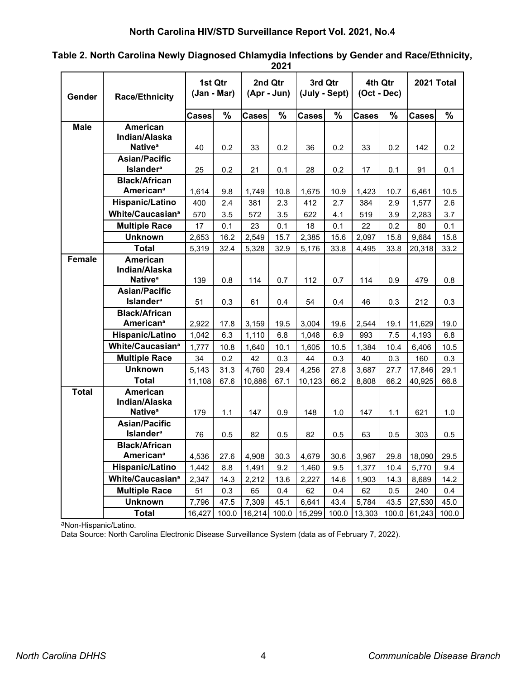|               |                                      |              |                        |              | 2021                     |                          |       |                          |       |              |       |
|---------------|--------------------------------------|--------------|------------------------|--------------|--------------------------|--------------------------|-------|--------------------------|-------|--------------|-------|
| Gender        | <b>Race/Ethnicity</b>                |              | 1st Qtr<br>(Jan - Mar) |              | 2nd Qtr<br>$(Apr - Jun)$ | 3rd Qtr<br>(July - Sept) |       | 4th Qtr<br>$(Oct - Dec)$ |       | 2021 Total   |       |
|               |                                      | <b>Cases</b> | $\%$                   | <b>Cases</b> | $\%$                     | <b>Cases</b>             | %     | <b>Cases</b>             | $\%$  | <b>Cases</b> | %     |
| <b>Male</b>   | <b>American</b>                      |              |                        |              |                          |                          |       |                          |       |              |       |
|               | Indian/Alaska                        |              |                        |              |                          |                          |       |                          |       |              |       |
|               | Native <sup>a</sup>                  | 40           | 0.2                    | 33           | 0.2                      | 36                       | 0.2   | 33                       | 0.2   | 142          | 0.2   |
|               | <b>Asian/Pacific</b>                 |              |                        |              |                          |                          |       |                          |       |              |       |
|               | <b>Islander<sup>a</sup></b>          | 25           | 0.2                    | 21           | 0.1                      | 28                       | 0.2   | 17                       | 0.1   | 91           | 0.1   |
|               | <b>Black/African</b>                 |              |                        |              |                          |                          |       |                          |       |              |       |
|               | <b>American<sup>ª</sup></b>          | 1,614        | 9.8                    | 1,749        | 10.8                     | 1,675                    | 10.9  | 1,423                    | 10.7  | 6,461        | 10.5  |
|               | Hispanic/Latino                      | 400          | 2.4                    | 381          | 2.3                      | 412                      | 2.7   | 384                      | 2.9   | 1,577        | 2.6   |
|               | White/Caucasian <sup>ª</sup>         | 570          | 3.5                    | 572          | 3.5                      | 622                      | 4.1   | 519                      | 3.9   | 2,283        | 3.7   |
|               | <b>Multiple Race</b>                 | 17           | 0.1                    | 23           | 0.1                      | 18                       | 0.1   | 22                       | 0.2   | 80           | 0.1   |
|               | <b>Unknown</b>                       | 2,653        | 16.2                   | 2,549        | 15.7                     | 2,385                    | 15.6  | 2,097                    | 15.8  | 9,684        | 15.8  |
|               | <b>Total</b>                         | 5,319        | 32.4                   | 5,328        | 32.9                     | 5,176                    | 33.8  | 4,495                    | 33.8  | 20,318       | 33.2  |
| <b>Female</b> | American                             |              |                        |              |                          |                          |       |                          |       |              |       |
|               | Indian/Alaska<br>Native <sup>a</sup> |              |                        |              |                          |                          |       |                          |       |              |       |
|               | <b>Asian/Pacific</b>                 | 139          | 0.8                    | 114          | 0.7                      | 112                      | 0.7   | 114                      | 0.9   | 479          | 0.8   |
|               | <b>Islander</b> <sup>a</sup>         | 51           | 0.3                    | 61           | 0.4                      | 54                       | 0.4   | 46                       | 0.3   | 212          | 0.3   |
|               | <b>Black/African</b>                 |              |                        |              |                          |                          |       |                          |       |              |       |
|               | <b>American<sup>a</sup></b>          | 2,922        | 17.8                   | 3,159        | 19.5                     | 3,004                    | 19.6  | 2,544                    | 19.1  | 11,629       | 19.0  |
|               | Hispanic/Latino                      | 1,042        | 6.3                    | 1,110        | 6.8                      | 1,048                    | 6.9   | 993                      | 7.5   | 4,193        | 6.8   |
|               | White/Caucasian <sup>ª</sup>         | 1,777        | 10.8                   | 1,640        | 10.1                     | 1,605                    | 10.5  | 1,384                    | 10.4  | 6,406        | 10.5  |
|               | <b>Multiple Race</b>                 | 34           | 0.2                    | 42           | 0.3                      | 44                       | 0.3   | 40                       | 0.3   | 160          | 0.3   |
|               | <b>Unknown</b>                       | 5,143        | 31.3                   | 4,760        | 29.4                     | 4,256                    | 27.8  | 3,687                    | 27.7  | 17,846       | 29.1  |
|               | <b>Total</b>                         | 11,108       | 67.6                   | 10,886       | 67.1                     | 10,123                   | 66.2  | 8,808                    | 66.2  | 40,925       | 66.8  |
| <b>Total</b>  | <b>American</b>                      |              |                        |              |                          |                          |       |                          |       |              |       |
|               | Indian/Alaska                        |              |                        |              |                          |                          |       |                          |       |              |       |
|               | Native <sup>ª</sup>                  | 179          | 1.1                    | 147          | 0.9                      | 148                      | 1.0   | 147                      | 1.1   | 621          | 1.0   |
|               | <b>Asian/Pacific</b>                 |              |                        |              |                          |                          |       |                          |       |              |       |
|               | <b>Islander</b> <sup>a</sup>         | 76           | 0.5                    | 82           | 0.5                      | 82                       | 0.5   | 63                       | 0.5   | 303          | 0.5   |
|               | <b>Black/African</b>                 |              |                        |              |                          |                          |       |                          |       |              |       |
|               | <b>American<sup>ª</sup></b>          | 4,536        | 27.6                   | 4,908        | 30.3                     | 4,679                    | 30.6  | 3,967                    | 29.8  | 18,090       | 29.5  |
|               | Hispanic/Latino                      | 1,442        | 8.8                    | 1,491        | 9.2                      | 1,460                    | 9.5   | 1,377                    | 10.4  | 5,770        | 9.4   |
|               | White/Caucasian <sup>ª</sup>         | 2,347        | 14.3                   | 2,212        | 13.6                     | 2,227                    | 14.6  | 1,903                    | 14.3  | 8,689        | 14.2  |
|               | <b>Multiple Race</b>                 | 51           | 0.3                    | 65           | 0.4                      | 62                       | 0.4   | 62                       | 0.5   | 240          | 0.4   |
|               | <b>Unknown</b>                       | 7,796        | 47.5                   | 7,309        | 45.1                     | 6,641                    | 43.4  | 5,784                    | 43.5  | 27,530       | 45.0  |
|               | <b>Total</b>                         | 16,427       | 100.0                  | 16,214       | 100.0                    | 15,299                   | 100.0 | 13,303                   | 100.0 | 61,243       | 100.0 |

**Table 2. North Carolina Newly Diagnosed Chlamydia Infections by Gender and Race/Ethnicity,** 

aNon-Hispanic/Latino.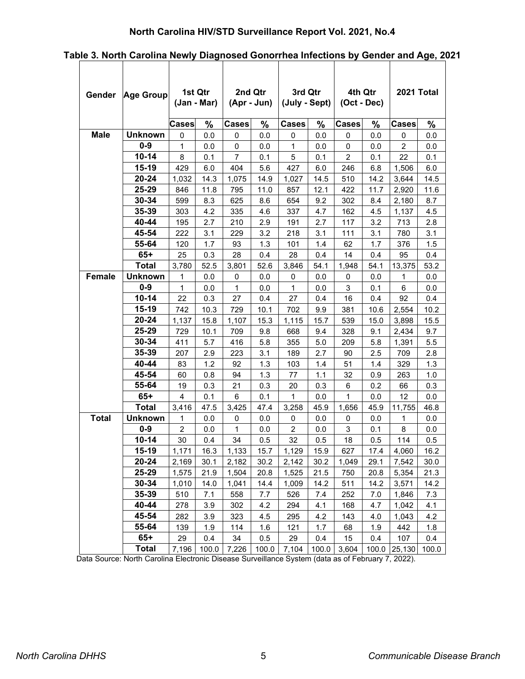# **North Carolina HIV/STD Surveillance Report Vol. 2021, No.4**

|              | Gender Age Group | 1st Qtr<br>(Jan - Mar) |       | 2nd Qtr<br>(Apr - Jun) |       |                | 3rd Qtr<br>4th Qtr<br>(July - Sept)<br>(Oct - Dec) |                |       | 2021 Total     |       |
|--------------|------------------|------------------------|-------|------------------------|-------|----------------|----------------------------------------------------|----------------|-------|----------------|-------|
|              |                  | Cases                  | $\%$  | <b>Cases</b>           | %     | <b>Cases</b>   | %                                                  | <b>Cases</b>   | $\%$  | <b>Cases</b>   | %     |
| <b>Male</b>  | <b>Unknown</b>   | 0                      | 0.0   | 0                      | 0.0   | 0              | 0.0                                                | 0              | 0.0   | 0              | 0.0   |
|              | $0-9$            | $\mathbf{1}$           | 0.0   | 0                      | 0.0   | $\mathbf{1}$   | 0.0                                                | 0              | 0.0   | $\overline{c}$ | 0.0   |
|              | $10 - 14$        | 8                      | 0.1   | $\overline{7}$         | 0.1   | 5              | 0.1                                                | $\overline{2}$ | 0.1   | 22             | 0.1   |
|              | 15-19            | 429                    | 6.0   | 404                    | 5.6   | 427            | 6.0                                                | 246            | 6.8   | 1,506          | 6.0   |
|              | 20-24            | 1,032                  | 14.3  | 1,075                  | 14.9  | 1,027          | 14.5                                               | 510            | 14.2  | 3,644          | 14.5  |
|              | 25-29            | 846                    | 11.8  | 795                    | 11.0  | 857            | 12.1                                               | 422            | 11.7  | 2,920          | 11.6  |
|              | 30-34            | 599                    | 8.3   | 625                    | 8.6   | 654            | 9.2                                                | 302            | 8.4   | 2,180          | 8.7   |
|              | 35-39            | 303                    | 4.2   | 335                    | 4.6   | 337            | 4.7                                                | 162            | 4.5   | 1,137          | 4.5   |
|              | 40-44            | 195                    | 2.7   | 210                    | 2.9   | 191            | 2.7                                                | 117            | 3.2   | 713            | 2.8   |
|              | 45-54            | 222                    | 3.1   | 229                    | 3.2   | 218            | 3.1                                                | 111            | 3.1   | 780            | 3.1   |
|              | 55-64            | 120                    | 1.7   | 93                     | 1.3   | 101            | 1.4                                                | 62             | 1.7   | 376            | 1.5   |
|              | $65+$            | 25                     | 0.3   | 28                     | 0.4   | 28             | 0.4                                                | 14             | 0.4   | 95             | 0.4   |
|              | <b>Total</b>     | 3,780                  | 52.5  | 3,801                  | 52.6  | 3,846          | 54.1                                               | 1,948          | 54.1  | 13,375         | 53.2  |
| Female       | <b>Unknown</b>   | 1                      | 0.0   | 0                      | 0.0   | 0              | 0.0                                                | 0              | 0.0   | 1              | 0.0   |
|              | $0-9$            | 1                      | 0.0   | 1                      | 0.0   | 1              | 0.0                                                | 3              | 0.1   | 6              | 0.0   |
|              | $10 - 14$        | 22                     | 0.3   | 27                     | 0.4   | 27             | 0.4                                                | 16             | 0.4   | 92             | 0.4   |
|              | 15-19            | 742                    | 10.3  | 729                    | 10.1  | 702            | 9.9                                                | 381            | 10.6  | 2,554          | 10.2  |
|              | 20-24            | 1,137                  | 15.8  | 1,107                  | 15.3  | 1,115          | 15.7                                               | 539            | 15.0  | 3,898          | 15.5  |
|              | 25-29            | 729                    | 10.1  | 709                    | 9.8   | 668            | 9.4                                                | 328            | 9.1   | 2,434          | 9.7   |
|              | 30-34            | 411                    | 5.7   | 416                    | 5.8   | 355            | 5.0                                                | 209            | 5.8   | 1,391          | 5.5   |
|              | 35-39            | 207                    | 2.9   | 223                    | 3.1   | 189            | 2.7                                                | 90             | 2.5   | 709            | 2.8   |
|              | 40-44            | 83                     | 1.2   | 92                     | 1.3   | 103            | 1.4                                                | 51             | 1.4   | 329            | 1.3   |
|              | 45-54            | 60                     | 0.8   | 94                     | 1.3   | 77             | 1.1                                                | 32             | 0.9   | 263            | 1.0   |
|              | 55-64            | 19                     | 0.3   | 21                     | 0.3   | 20             | 0.3                                                | 6              | 0.2   | 66             | 0.3   |
|              | $65+$            | 4                      | 0.1   | 6                      | 0.1   | 1              | 0.0                                                | 1              | 0.0   | 12             | 0.0   |
|              | <b>Total</b>     | 3,416                  | 47.5  | 3,425                  | 47.4  | 3,258          | 45.9                                               | 1.656          | 45.9  | 11,755         | 46.8  |
| <b>Total</b> | <b>Unknown</b>   | 1                      | 0.0   | 0                      | 0.0   | 0              | 0.0                                                | 0              | 0.0   | 1              | 0.0   |
|              | $0 - 9$          | $\overline{2}$         | 0.0   | 1                      | 0.0   | $\overline{2}$ | 0.0                                                | 3              | 0.1   | 8              | 0.0   |
|              | $10 - 14$        | 30                     | 0.4   | 34                     | 0.5   | 32             | 0.5                                                | 18             | 0.5   | 114            | 0.5   |
|              | 15-19            | 1,171                  | 16.3  | 1,133                  | 15.7  | 1,129          | 15.9                                               | 627            | 17.4  | 4,060          | 16.2  |
|              | 20-24            | 2,169                  | 30.1  | 2,182                  | 30.2  | 2,142          | 30.2                                               | 1,049          | 29.1  | 7,542          | 30.0  |
|              | 25-29            | 1,575                  | 21.9  | 1,504                  | 20.8  | 1,525          | 21.5                                               | 750            | 20.8  | 5,354          | 21.3  |
|              | 30-34            | 1,010                  | 14.0  | 1,041                  | 14.4  | 1,009          | 14.2                                               | 511            | 14.2  | 3,571          | 14.2  |
|              | 35-39            | 510                    | 7.1   | 558                    | 7.7   | 526            | 7.4                                                | 252            | 7.0   | 1,846          | 7.3   |
|              | 40-44            | 278                    | 3.9   | 302                    | 4.2   | 294            | 4.1                                                | 168            | 4.7   | 1,042          | 4.1   |
|              | 45-54            | 282                    | 3.9   | 323                    | 4.5   | 295            | 4.2                                                | 143            | 4.0   | 1,043          | 4.2   |
|              | 55-64            | 139                    | 1.9   | 114                    | 1.6   | 121            | 1.7                                                | 68             | 1.9   | 442            | 1.8   |
|              | $65+$            | 29                     | 0.4   | 34                     | 0.5   | 29             | 0.4                                                | 15             | 0.4   | 107            | 0.4   |
|              | <b>Total</b>     | 7,196                  | 100.0 | 7,226                  | 100.0 | 7,104          | 100.0                                              | 3,604          | 100.0 | 25,130         | 100.0 |

**Table 3. North Carolina Newly Diagnosed Gonorrhea Infections by Gender and Age, 2021**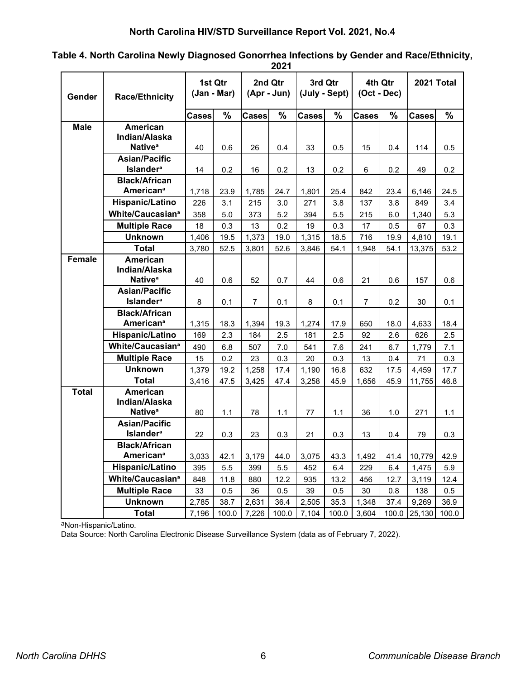|               | 2021                                                 |              |                        |                |                        |                          |             |                          |             |              |            |
|---------------|------------------------------------------------------|--------------|------------------------|----------------|------------------------|--------------------------|-------------|--------------------------|-------------|--------------|------------|
| Gender        | <b>Race/Ethnicity</b>                                |              | 1st Qtr<br>(Jan - Mar) |                | 2nd Qtr<br>(Apr - Jun) | 3rd Qtr<br>(July - Sept) |             | 4th Qtr<br>$(Oct - Dec)$ |             | 2021 Total   |            |
|               |                                                      | <b>Cases</b> | $\%$                   | Cases          | $\%$                   | <b>Cases</b>             | %           | <b>Cases</b>             | $\%$        | <b>Cases</b> | %          |
| <b>Male</b>   | <b>American</b>                                      |              |                        |                |                        |                          |             |                          |             |              |            |
|               | Indian/Alaska                                        |              |                        |                |                        |                          |             |                          |             |              |            |
|               | Native <sup>a</sup>                                  | 40           | 0.6                    | 26             | 0.4                    | 33                       | 0.5         | 15                       | 0.4         | 114          | 0.5        |
|               | <b>Asian/Pacific</b>                                 |              |                        |                |                        |                          |             |                          |             |              |            |
|               | <b>Islander</b> <sup>a</sup>                         | 14           | 0.2                    | 16             | 0.2                    | 13                       | 0.2         | 6                        | 0.2         | 49           | 0.2        |
|               | <b>Black/African</b>                                 |              |                        |                |                        |                          |             |                          |             |              |            |
|               | <b>American<sup>ª</sup></b>                          | 1,718        | 23.9                   | 1,785          | 24.7                   | 1,801                    | 25.4        | 842                      | 23.4        | 6,146        | 24.5       |
|               | Hispanic/Latino                                      | 226          | 3.1                    | 215            | 3.0                    | 271                      | 3.8         | 137                      | 3.8         | 849          | 3.4        |
|               | White/Caucasian <sup>ª</sup>                         | 358          | 5.0                    | 373            | 5.2                    | 394                      | 5.5         | 215                      | 6.0         | 1,340        | 5.3        |
|               | <b>Multiple Race</b>                                 | 18           | 0.3                    | 13             | 0.2                    | 19                       | 0.3         | 17                       | 0.5         | 67           | 0.3        |
|               | <b>Unknown</b>                                       | 1,406        | 19.5                   | 1,373          | 19.0                   | 1,315                    | 18.5        | 716                      | 19.9        | 4,810        | 19.1       |
|               | <b>Total</b>                                         | 3,780        | 52.5                   | 3,801          | 52.6                   | 3,846                    | 54.1        | 1,948                    | 54.1        | 13,375       | 53.2       |
| <b>Female</b> | American                                             |              |                        |                |                        |                          |             |                          |             |              |            |
|               | Indian/Alaska                                        |              |                        |                |                        |                          |             |                          |             |              |            |
|               | Native <sup>a</sup>                                  | 40           | 0.6                    | 52             | 0.7                    | 44                       | 0.6         | 21                       | 0.6         | 157          | 0.6        |
|               | <b>Asian/Pacific</b><br><b>Islander</b> <sup>a</sup> | 8            |                        | $\overline{7}$ |                        |                          |             | $\overline{7}$           |             |              |            |
|               | <b>Black/African</b>                                 |              | 0.1                    |                | 0.1                    | 8                        | 0.1         |                          | 0.2         | 30           | 0.1        |
|               | <b>American<sup>a</sup></b>                          | 1,315        | 18.3                   | 1,394          | 19.3                   | 1,274                    | 17.9        | 650                      | 18.0        | 4,633        | 18.4       |
|               | <b>Hispanic/Latino</b>                               | 169          | 2.3                    | 184            | 2.5                    | 181                      | 2.5         | 92                       | 2.6         | 626          | 2.5        |
|               | White/Caucasian <sup>ª</sup>                         | 490          |                        |                |                        |                          |             |                          |             |              |            |
|               | <b>Multiple Race</b>                                 |              | 6.8<br>0.2             | 507            | 7.0                    | 541                      | 7.6         | 241                      | 6.7         | 1,779<br>71  | 7.1<br>0.3 |
|               | <b>Unknown</b>                                       | 15<br>1,379  | 19.2                   | 23<br>1,258    | 0.3<br>17.4            | 20<br>1,190              | 0.3<br>16.8 | 13<br>632                | 0.4<br>17.5 | 4,459        | 17.7       |
|               | <b>Total</b>                                         | 3,416        | 47.5                   | 3,425          | 47.4                   | 3,258                    | 45.9        | 1,656                    | 45.9        | 11,755       | 46.8       |
| <b>Total</b>  | <b>American</b>                                      |              |                        |                |                        |                          |             |                          |             |              |            |
|               | Indian/Alaska                                        |              |                        |                |                        |                          |             |                          |             |              |            |
|               | Native <sup>a</sup>                                  | 80           | 1.1                    | 78             | 1.1                    | 77                       | 1.1         | 36                       | 1.0         | 271          | 1.1        |
|               | <b>Asian/Pacific</b>                                 |              |                        |                |                        |                          |             |                          |             |              |            |
|               | <b>Islander</b> <sup>a</sup>                         | 22           | 0.3                    | 23             | 0.3                    | 21                       | 0.3         | 13                       | 0.4         | 79           | 0.3        |
|               | <b>Black/African</b>                                 |              |                        |                |                        |                          |             |                          |             |              |            |
|               | <b>American<sup>a</sup></b>                          | 3,033        | 42.1                   | 3,179          | 44.0                   | 3,075                    | 43.3        | 1,492                    | 41.4        | 10,779       | 42.9       |
|               | Hispanic/Latino                                      | 395          | 5.5                    | 399            | 5.5                    | 452                      | 6.4         | 229                      | 6.4         | 1,475        | 5.9        |
|               | White/Caucasian <sup>ª</sup>                         | 848          | 11.8                   | 880            | 12.2                   | 935                      | 13.2        | 456                      | 12.7        | 3,119        | 12.4       |
|               | <b>Multiple Race</b>                                 | 33           | 0.5                    | 36             | 0.5                    | 39                       | 0.5         | 30                       | 0.8         | 138          | 0.5        |
|               | <b>Unknown</b>                                       | 2,785        | 38.7                   | 2,631          | 36.4                   | 2,505                    | 35.3        | 1,348                    | 37.4        | 9,269        | 36.9       |
|               | <b>Total</b>                                         | 7,196        | 100.0                  | 7,226          | 100.0                  | 7,104                    | 100.0       | 3,604                    | 100.0       | 25,130       | 100.0      |

**Table 4. North Carolina Newly Diagnosed Gonorrhea Infections by Gender and Race/Ethnicity,** 

aNon-Hispanic/Latino.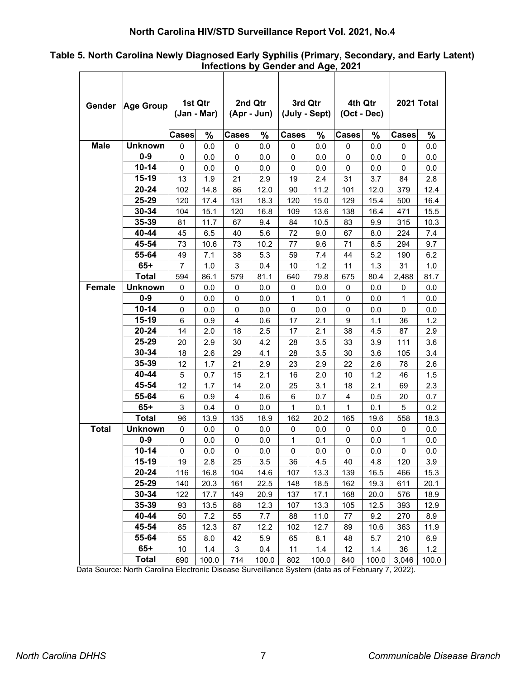# **North Carolina HIV/STD Surveillance Report Vol. 2021, No.4**

| Table 5. North Carolina Newly Diagnosed Early Syphilis (Primary, Secondary, and Early Latent) |  |
|-----------------------------------------------------------------------------------------------|--|
| Infections by Gender and Age, 2021                                                            |  |

| Gender        | <b>Age Group</b> | 1st Qtr<br>(Jan - Mar) |       | 2nd Qtr<br>(Apr - Jun) |       | 3rd Qtr<br>(July - Sept) |       | 4th Qtr<br>(Oct - Dec) |       | 2021 Total   |       |
|---------------|------------------|------------------------|-------|------------------------|-------|--------------------------|-------|------------------------|-------|--------------|-------|
|               |                  | Cases                  | %     | <b>Cases</b>           | %     | <b>Cases</b>             | %     | <b>Cases</b>           | %     | <b>Cases</b> | $\%$  |
| <b>Male</b>   | <b>Unknown</b>   | 0                      | 0.0   | 0                      | 0.0   | 0                        | 0.0   | 0                      | 0.0   | 0            | 0.0   |
|               | $0-9$            | 0                      | 0.0   | 0                      | 0.0   | 0                        | 0.0   | 0                      | 0.0   | 0            | 0.0   |
|               | 10-14            | 0                      | 0.0   | 0                      | 0.0   | 0                        | 0.0   | 0                      | 0.0   | 0            | 0.0   |
|               | 15-19            | 13                     | 1.9   | 21                     | 2.9   | 19                       | 2.4   | 31                     | 3.7   | 84           | 2.8   |
|               | 20-24            | 102                    | 14.8  | 86                     | 12.0  | 90                       | 11.2  | 101                    | 12.0  | 379          | 12.4  |
|               | 25-29            | 120                    | 17.4  | 131                    | 18.3  | 120                      | 15.0  | 129                    | 15.4  | 500          | 16.4  |
|               | 30-34            | 104                    | 15.1  | 120                    | 16.8  | 109                      | 13.6  | 138                    | 16.4  | 471          | 15.5  |
|               | 35-39            | 81                     | 11.7  | 67                     | 9.4   | 84                       | 10.5  | 83                     | 9.9   | 315          | 10.3  |
|               | 40-44            | 45                     | 6.5   | 40                     | 5.6   | 72                       | 9.0   | 67                     | 8.0   | 224          | 7.4   |
|               | 45-54            | 73                     | 10.6  | 73                     | 10.2  | 77                       | 9.6   | 71                     | 8.5   | 294          | 9.7   |
|               | 55-64            | 49                     | 7.1   | 38                     | 5.3   | 59                       | 7.4   | 44                     | 5.2   | 190          | 6.2   |
|               | $65+$            | 7                      | 1.0   | 3                      | 0.4   | 10                       | 1.2   | 11                     | 1.3   | 31           | 1.0   |
|               | Total            | 594                    | 86.1  | 579                    | 81.1  | 640                      | 79.8  | 675                    | 80.4  | 2,488        | 81.7  |
| <b>Female</b> | <b>Unknown</b>   | 0                      | 0.0   | 0                      | 0.0   | 0                        | 0.0   | 0                      | 0.0   | 0            | 0.0   |
|               | $0-9$            | 0                      | 0.0   | 0                      | 0.0   | 1                        | 0.1   | 0                      | 0.0   | 1            | 0.0   |
|               | $10 - 14$        | 0                      | 0.0   | 0                      | 0.0   | 0                        | 0.0   | 0                      | 0.0   | 0            | 0.0   |
|               | 15-19            | 6                      | 0.9   | 4                      | 0.6   | 17                       | 2.1   | 9                      | 1.1   | 36           | 1.2   |
|               | 20-24            | 14                     | 2.0   | 18                     | 2.5   | 17                       | 2.1   | 38                     | 4.5   | 87           | 2.9   |
|               | $25 - 29$        | 20                     | 2.9   | 30                     | 4.2   | 28                       | 3.5   | 33                     | 3.9   | 111          | 3.6   |
|               | 30-34            | 18                     | 2.6   | 29                     | 4.1   | 28                       | 3.5   | 30                     | 3.6   | 105          | 3.4   |
|               | 35-39            | 12                     | 1.7   | 21                     | 2.9   | 23                       | 2.9   | 22                     | 2.6   | 78           | 2.6   |
|               | 40-44            | 5                      | 0.7   | 15                     | 2.1   | 16                       | 2.0   | 10                     | 1.2   | 46           | 1.5   |
|               | 45-54            | 12                     | 1.7   | 14                     | 2.0   | 25                       | 3.1   | 18                     | 2.1   | 69           | 2.3   |
|               | 55-64            | 6                      | 0.9   | 4                      | 0.6   | 6                        | 0.7   | 4                      | 0.5   | 20           | 0.7   |
|               | $65+$            | 3                      | 0.4   | 0                      | 0.0   | 1                        | 0.1   | $\mathbf{1}$           | 0.1   | 5            | 0.2   |
|               | <b>Total</b>     | 96                     | 13.9  | 135                    | 18.9  | 162                      | 20.2  | 165                    | 19.6  | 558          | 18.3  |
| <b>Total</b>  | <b>Unknown</b>   | 0                      | 0.0   | 0                      | 0.0   | 0                        | 0.0   | $\mathbf 0$            | 0.0   | 0            | 0.0   |
|               | $0-9$            | 0                      | 0.0   | 0                      | 0.0   | 1                        | 0.1   | 0                      | 0.0   | 1            | 0.0   |
|               | $10 - 14$        | 0                      | 0.0   | 0                      | 0.0   | 0                        | 0.0   | 0                      | 0.0   | 0            | 0.0   |
|               | 15-19            | 19                     | 2.8   | 25                     | 3.5   | 36                       | 4.5   | 40                     | 4.8   | 120          | 3.9   |
|               | 20-24            | 116                    | 16.8  | 104                    | 14.6  | 107                      | 13.3  | 139                    | 16.5  | 466          | 15.3  |
|               | 25-29            | 140                    | 20.3  | 161                    | 22.5  | 148                      | 18.5  | 162                    | 19.3  | 611          | 20.1  |
|               | 30-34            | 122                    | 17.7  | 149                    | 20.9  | 137                      | 17.1  | 168                    | 20.0  | 576          | 18.9  |
|               | 35-39            | 93                     | 13.5  | 88                     | 12.3  | 107                      | 13.3  | 105                    | 12.5  | 393          | 12.9  |
|               | 40-44            | 50                     | 7.2   | 55                     | 7.7   | 88                       | 11.0  | 77                     | 9.2   | 270          | 8.9   |
|               | 45-54            | 85                     | 12.3  | 87                     | 12.2  | 102                      | 12.7  | 89                     | 10.6  | 363          | 11.9  |
|               | 55-64            | 55                     | 8.0   | 42                     | 5.9   | 65                       | 8.1   | 48                     | 5.7   | 210          | 6.9   |
|               | $65+$            | 10                     | 1.4   | 3                      | 0.4   | 11                       | 1.4   | 12                     | 1.4   | 36           | 1.2   |
|               | <b>Total</b>     | 690                    | 100.0 | 714                    | 100.0 | 802                      | 100.0 | 840                    | 100.0 | 3,046        | 100.0 |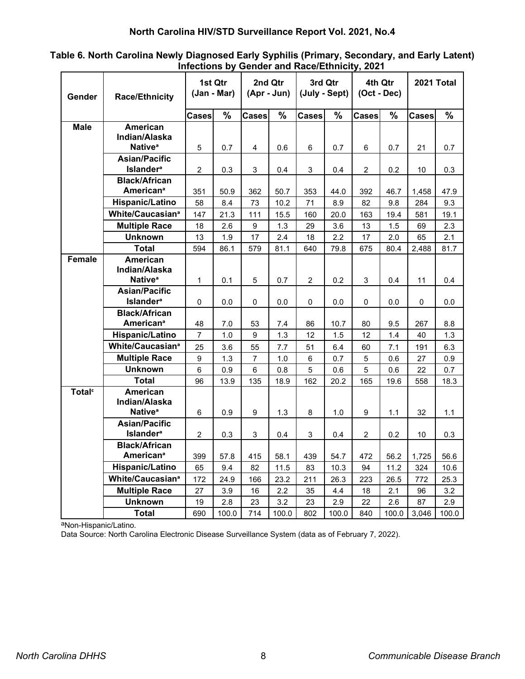| Table 6. North Carolina Newly Diagnosed Early Syphilis (Primary, Secondary, and Early Latent) |                                               |  |
|-----------------------------------------------------------------------------------------------|-----------------------------------------------|--|
|                                                                                               | Infections by Gender and Race/Ethnicity, 2021 |  |

| Gender                    | <b>Race/Ethnicity</b>                                | 1st Qtr<br>(Jan - Mar) |               | 2nd Qtr<br>$(Apr - Jun)$ |               | 3rd Qtr<br>(July - Sept) |               | 4th Qtr<br>(Oct - Dec) |               | 2021 Total   |               |
|---------------------------|------------------------------------------------------|------------------------|---------------|--------------------------|---------------|--------------------------|---------------|------------------------|---------------|--------------|---------------|
|                           |                                                      | <b>Cases</b>           | $\frac{9}{6}$ | <b>Cases</b>             | $\frac{9}{6}$ | <b>Cases</b>             | $\frac{9}{6}$ | <b>Cases</b>           | $\frac{9}{6}$ | <b>Cases</b> | $\frac{9}{6}$ |
| <b>Male</b>               | American                                             |                        |               |                          |               |                          |               |                        |               |              |               |
|                           | Indian/Alaska<br>Native <sup>®</sup>                 | 5                      |               | $\overline{4}$           | 0.6           | 6                        |               | 6                      |               | 21           |               |
|                           | <b>Asian/Pacific</b>                                 |                        | 0.7           |                          |               |                          | 0.7           |                        | 0.7           |              | 0.7           |
|                           | <b>Islander</b> <sup>a</sup>                         | $\overline{c}$         | 0.3           | 3                        | 0.4           | 3                        | 0.4           | 2                      | 0.2           | 10           | 0.3           |
|                           | <b>Black/African</b>                                 |                        |               |                          |               |                          |               |                        |               |              |               |
|                           | <b>American<sup>ª</sup></b>                          | 351                    | 50.9          | 362                      | 50.7          | 353                      | 44.0          | 392                    | 46.7          | 1,458        | 47.9          |
|                           | Hispanic/Latino                                      | 58                     | 8.4           | 73                       | 10.2          | 71                       | 8.9           | 82                     | 9.8           | 284          | 9.3           |
|                           | White/Caucasian <sup>ª</sup>                         | 147                    | 21.3          | 111                      | 15.5          | 160                      | 20.0          | 163                    | 19.4          | 581          | 19.1          |
|                           | <b>Multiple Race</b>                                 | 18                     | 2.6           | 9                        | 1.3           | 29                       | 3.6           | 13                     | 1.5           | 69           | 2.3           |
|                           | <b>Unknown</b>                                       | 13                     | 1.9           | 17                       | 2.4           | 18                       | 2.2           | 17                     | 2.0           | 65           | 2.1           |
|                           | <b>Total</b>                                         | 594                    | 86.1          | 579                      | 81.1          | 640                      | 79.8          | 675                    | 80.4          | 2,488        | 81.7          |
| <b>Female</b>             | <b>American</b>                                      |                        |               |                          |               |                          |               |                        |               |              |               |
|                           | Indian/Alaska                                        |                        |               |                          |               |                          |               |                        |               |              |               |
|                           | Native <sup>®</sup>                                  | $\mathbf{1}$           | 0.1           | 5                        | 0.7           | $\overline{a}$           | 0.2           | 3                      | 0.4           | 11           | 0.4           |
|                           | <b>Asian/Pacific</b><br><b>Islander</b> <sup>a</sup> | $\Omega$               | 0.0           | $\Omega$                 | 0.0           | 0                        | 0.0           | 0                      | 0.0           | $\Omega$     | 0.0           |
|                           | <b>Black/African</b>                                 |                        |               |                          |               |                          |               |                        |               |              |               |
|                           | <b>American<sup>ª</sup></b>                          | 48                     | 7.0           | 53                       | 7.4           | 86                       | 10.7          | 80                     | 9.5           | 267          | 8.8           |
|                           | Hispanic/Latino                                      | $\overline{7}$         | 1.0           | 9                        | 1.3           | 12                       | 1.5           | 12                     | 1.4           | 40           | 1.3           |
|                           | White/Caucasian <sup>ª</sup>                         | 25                     | 3.6           | 55                       | 7.7           | 51                       | 6.4           | 60                     | 7.1           | 191          | 6.3           |
|                           | <b>Multiple Race</b>                                 | 9                      | 1.3           | $\overline{7}$           | 1.0           | 6                        | 0.7           | 5                      | 0.6           | 27           | 0.9           |
|                           | <b>Unknown</b>                                       | 6                      | 0.9           | 6                        | 0.8           | 5                        | 0.6           | 5                      | 0.6           | 22           | 0.7           |
|                           | <b>Total</b>                                         | 96                     | 13.9          | 135                      | 18.9          | 162                      | 20.2          | 165                    | 19.6          | 558          | 18.3          |
| <b>Total</b> <sup>c</sup> | American<br>Indian/Alaska<br>Native <sup>®</sup>     | 6                      | 0.9           | 9                        | 1.3           | 8                        | 1.0           | 9                      | 1.1           | 32           | 1.1           |
|                           | <b>Asian/Pacific</b><br><b>Islander<sup>a</sup></b>  |                        |               |                          |               |                          |               |                        |               |              |               |
|                           | <b>Black/African</b>                                 | $\overline{2}$         | 0.3           | 3                        | 0.4           | 3                        | 0.4           | $\overline{2}$         | 0.2           | 10           | 0.3           |
|                           | <b>American<sup>a</sup></b>                          | 399                    | 57.8          | 415                      | 58.1          | 439                      | 54.7          | 472                    | 56.2          | 1,725        | 56.6          |
|                           | Hispanic/Latino                                      | 65                     | 9.4           | 82                       | 11.5          | 83                       | 10.3          | 94                     | 11.2          | 324          | 10.6          |
|                           | White/Caucasian <sup>a</sup>                         | 172                    | 24.9          | 166                      | 23.2          | 211                      | 26.3          | 223                    | 26.5          | 772          | 25.3          |
|                           | <b>Multiple Race</b>                                 | 27                     | 3.9           | 16                       | 2.2           | 35                       | 4.4           | 18                     | 2.1           | 96           | 3.2           |
|                           | <b>Unknown</b>                                       | 19                     | 2.8           | 23                       | 3.2           | 23                       | 2.9           | 22                     | 2.6           | 87           | 2.9           |
|                           | <b>Total</b>                                         | 690                    | 100.0         | 714                      | 100.0         | 802                      | 100.0         | 840                    | 100.0         | 3,046        | 100.0         |

aNon-Hispanic/Latino.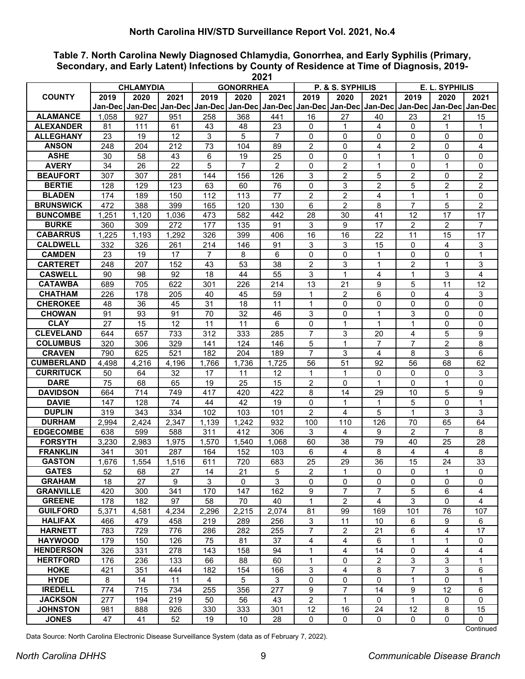**Table 7. North Carolina Newly Diagnosed Chlamydia, Gonorrhea, and Early Syphilis (Primary, Secondary, and Early Latent) Infections by County of Residence at Time of Diagnosis, 2019- 2021**

|                                   |            | <b>CHLAMYDIA</b> |            |                | <b>GONORRHEA</b> | LVL I          |                      | P. & S. SYPHILIS |                     |                     | E. L. SYPHILIS                                                                                              |                   |
|-----------------------------------|------------|------------------|------------|----------------|------------------|----------------|----------------------|------------------|---------------------|---------------------|-------------------------------------------------------------------------------------------------------------|-------------------|
| <b>COUNTY</b>                     | 2019       | 2020             | 2021       | 2019           | 2020             | 2021           | 2019                 | 2020             | 2021                | 2019                | 2020                                                                                                        | 2021              |
|                                   | Jan-Dec I  |                  |            |                |                  |                |                      |                  |                     |                     | Jan-Dec   Jan-Dec   Jan-Dec   Jan-Dec   Jan-Dec   Jan-Dec   Jan-Dec   Jan-Dec   Jan-Dec   Jan-Dec   Jan-Dec |                   |
| <b>ALAMANCE</b>                   | 1.058      | 927              | 951        | 258            | 368              | 441            | 16                   | 27               | 40                  | 23                  | 21                                                                                                          | 15                |
| <b>ALEXANDER</b>                  | 81         | 111              | 61         | 43             | 48               | 23             | 0                    | 1                | 4                   | $\mathbf 0$         | 1                                                                                                           | 1                 |
| <b>ALLEGHANY</b>                  | 23         | 19               | 12         | 3              | 5                | 7              | $\mathbf{0}$         | 0                | 0                   | $\mathbf{0}$        | 0                                                                                                           | 0                 |
| <b>ANSON</b>                      | 248        | 204              | 212        | 73             | 104              | 89             | $\overline{2}$       | $\Omega$         | 4                   | $\overline{c}$      | $\Omega$                                                                                                    | 4                 |
| <b>ASHE</b>                       | 30         | 58               | 43         | 6              | 19               | 25             | 0                    | $\mathbf 0$      | 1                   | 1                   | $\Omega$                                                                                                    | 0                 |
| <b>AVERY</b>                      | 34         | 26               | 22         | 5              | $\overline{7}$   | $\overline{2}$ | 0                    | $\overline{2}$   | 1                   | 0                   | $\mathbf{1}$                                                                                                | $\mathbf{0}$      |
| <b>BEAUFORT</b>                   | 307        | 307              | 281        | 144            | 156              | 126            | 3                    | $\overline{2}$   | 5                   | $\overline{2}$      | $\Omega$                                                                                                    | $\overline{2}$    |
| <b>BERTIE</b>                     | 128        | 129              | 123        | 63             | 60               | 76             | 0                    | 3                | $\overline{2}$      | 5                   | $\overline{2}$                                                                                              | $\overline{c}$    |
| <b>BLADEN</b>                     | 174        | 189              | 150        | 112            | 113              | 77             | $\overline{2}$       | $\overline{2}$   | 4                   | 1                   | 1                                                                                                           | $\Omega$          |
| <b>BRUNSWICK</b>                  | 472        | 388              | 399        | 165            | 120              | 130            | 6                    | $\overline{2}$   | 8                   | $\overline{7}$      | 5                                                                                                           | $\overline{2}$    |
| <b>BUNCOMBE</b>                   | 1,251      | 1,120            | 1,036      | 473            | 582              | 442            | 28                   | 30               | 41                  | 12                  | 17                                                                                                          | 17                |
| <b>BURKE</b>                      | 360        | 309              | 272        | 177            | 135              | 91             | 3                    | 9                | 17                  | 2                   | 2                                                                                                           | $\overline{7}$    |
| <b>CABARRUS</b>                   | 1,225      | 1,193            | 1,292      | 326            | 399              | 406            | 16                   | 16               | 22                  | 11                  | 15                                                                                                          | 17                |
| <b>CALDWELL</b>                   | 332        | 326              | 261        | 214            | 146              | 91             | 3                    | 3                | 15                  | 0                   | 4                                                                                                           | 3                 |
| <b>CAMDEN</b>                     | 23         | 19               | 17         | 7              | 8                | 6              | 0                    | 0                | 1                   | $\mathbf{0}$        | $\Omega$                                                                                                    | 1                 |
| <b>CARTERET</b>                   | 248        | 207              | 152        | 43             | 53               | 38             | $\overline{c}$       | 3                | 1                   | $\overline{c}$      | 1                                                                                                           | 3                 |
| <b>CASWELL</b>                    | 90         | 98               | 92         | 18             | 44               | 55             | 3                    | 1                | 4                   | 1                   | 3                                                                                                           | 4                 |
| <b>CATAWBA</b>                    | 689        | 705              | 622        | 301            | 226              | 214            | 13                   | 21               | 9                   | 5                   | 11                                                                                                          | 12                |
| <b>CHATHAM</b>                    | 226        | 178              | 205        | 40             | 45               | 59             | 1                    | $\overline{2}$   | 6                   | $\Omega$            | 4                                                                                                           | 3                 |
| <b>CHEROKEE</b>                   | 48         | 36               | 45         | 31             | 18               | 11             | 1                    | 0                | 0                   | $\Omega$            | $\Omega$                                                                                                    | 0                 |
| <b>CHOWAN</b>                     | 91         | 93               | 91         | 70             | 32               | 46             | 3                    | $\mathbf{0}$     | $\mathbf{1}$        | 3                   | $\Omega$                                                                                                    | $\Omega$          |
| <b>CLAY</b>                       | 27         | 15               | 12         | 11             | 11               | 6              | $\Omega$             | $\mathbf{1}$     | $\mathbf 1$         | 1                   | $\Omega$                                                                                                    | $\Omega$          |
| <b>CLEVELAND</b>                  | 644        | 657              | 733        | 312            | 333              | 285            | $\overline{7}$       | 3                | 20                  | 4<br>$\overline{7}$ | 5                                                                                                           | 9                 |
| <b>COLUMBUS</b><br><b>CRAVEN</b>  | 320<br>790 | 306<br>625       | 329<br>521 | 141<br>182     | 124<br>204       | 146<br>189     | 5<br>$\overline{7}$  | 1<br>3           | $\overline{7}$<br>4 | 8                   | 2<br>3                                                                                                      | 8<br>6            |
| <b>CUMBERLAND</b>                 | 4,498      | 4,216            | 4,196      | 1,766          | 1,736            | 1,725          | 56                   | 51               | 92                  | 56                  | 68                                                                                                          | 62                |
| <b>CURRITUCK</b>                  | 50         | 64               | 32         | 17             | 11               | 12             | 1                    | 1                | 0                   | 0                   | 0                                                                                                           | 3                 |
| <b>DARE</b>                       | 75         | 68               | 65         | 19             | 25               | 15             | $\overline{c}$       | $\Omega$         | 1                   | $\Omega$            | $\mathbf{1}$                                                                                                | 0                 |
| <b>DAVIDSON</b>                   | 664        | 714              | 749        | 417            | 420              | 422            | 8                    | 14               | 29                  | 10                  | 5                                                                                                           | 9                 |
| <b>DAVIE</b>                      | 147        | 128              | 74         | 44             | 42               | 19             | 0                    | 1                | 1                   | 5                   | $\Omega$                                                                                                    | $\mathbf 1$       |
| <b>DUPLIN</b>                     | 319        | 343              | 334        | 102            | 103              | 101            | $\overline{2}$       | $\overline{4}$   | 5                   | $\mathbf{1}$        | 3                                                                                                           | 3                 |
| <b>DURHAM</b>                     | 2,994      | 2,424            | 2,347      | 1,139          | 1,242            | 932            | 100                  | 110              | 126                 | 70                  | 65                                                                                                          | 64                |
| <b>EDGECOMBE</b>                  | 638        | 599              | 588        | 311            | 412              | 306            | 3                    | 4                | 9                   | 2                   | $\overline{7}$                                                                                              | 8                 |
| <b>FORSYTH</b>                    | 3,230      | 2,983            | 1,975      | 1,570          | 1,540            | 1.068          | 60                   | 38               | 79                  | 40                  | 25                                                                                                          | 28                |
| <b>FRANKLIN</b>                   | 341        | 301              | 287        | 164            | 152              | 103            | 6                    | 4                | 8                   | 4                   | 4                                                                                                           | 8                 |
| <b>GASTON</b>                     | 1,676      | 1,554            | 1,516      | 611            | 720              | 683            | 25                   | 29               | 36                  | 15                  | 24                                                                                                          | 33                |
| <b>GATES</b>                      | 52         | 68               | 27         | 14             | 21               | 5              | $\overline{2}$       | 1                | 0                   | 0                   | $\mathbf{1}$                                                                                                | 0                 |
| <b>GRAHAM</b>                     | 18         | 27               | 9          | 3              | 0                | 3              | 0                    | 0                | 0                   | $\mathbf 0$         | 0                                                                                                           | 0                 |
| <b>GRANVILLE</b>                  | 420        | 300              | 341        | 170            | 147              | 162            | 9                    | $\overline{7}$   | $\overline{7}$      | $\sqrt{5}$          | 6                                                                                                           | 4                 |
| <b>GREENE</b>                     | 178        | 182              | 97         | 58             | 70               | 40             | $\mathbf{1}$         | $\overline{2}$   | 4                   | $\mathfrak{S}$      | 0                                                                                                           | 4                 |
| <b>GUILFORD</b>                   | 5,371      | 4,581            | 4,234      | 2,296          | 2,215            | 2,074          | 81                   | 99               | 169                 | 101                 | 76                                                                                                          | 107               |
| <b>HALIFAX</b>                    | 466        | 479              | 458        | 219            | 289              | 256            | 3                    | 11               | 10                  | 6                   | 9                                                                                                           | 6                 |
| <b>HARNETT</b>                    | 783        | 729              | 776        | 286            | 282              | 255            | $\overline{7}$       | $\overline{2}$   | 21                  | 6                   | $\overline{4}$                                                                                              | 17                |
| <b>HAYWOOD</b>                    | 179        | 150              | 126        | 75             | 81               | 37             | $\overline{4}$       | 4                | 6                   | $\mathbf{1}$        | 1                                                                                                           | 0                 |
| <b>HENDERSON</b>                  | 326        | 331              | 278        | 143            | 158              | 94             | $\mathbf{1}$         | 4                | 14                  | 0                   | 4                                                                                                           | 4                 |
| <b>HERTFORD</b>                   | 176        | 236              | 133        | 66             | 88               | 60             | $\mathbf{1}$         | $\mathbf 0$      | $\overline{c}$      | $\overline{3}$      | $\mathfrak{S}$                                                                                              | 1                 |
| <b>HOKE</b>                       | 421        | 351              | 444        | 182            | 154              | 166            | 3                    | 4                | 8                   | $\overline{7}$      | 3                                                                                                           | 6                 |
| <b>HYDE</b>                       | 8          | 14               | 11         | $\overline{4}$ | 5                | 3              | 0                    | 0                | 0                   | 1                   | 0                                                                                                           | 1                 |
| <b>IREDELL</b>                    | 774        | 715              | 734        | 255            | 356              | 277            | 9                    | 7                | 14                  | 9                   | 12                                                                                                          | 6                 |
| <b>JACKSON</b><br><b>JOHNSTON</b> | 277<br>981 | 194<br>888       | 219<br>926 | 50<br>330      | 56<br>333        | 43<br>301      | $\overline{2}$<br>12 | 1<br>16          | 0<br>24             | $\mathbf{1}$<br>12  | 0<br>8                                                                                                      | $\mathbf 0$<br>15 |
| <b>JONES</b>                      | 47         | 41               | 52         | 19             | 10               | 28             | 0                    | 0                | 0                   | 0                   | 0                                                                                                           | 0                 |
|                                   |            |                  |            |                |                  |                |                      |                  |                     |                     |                                                                                                             |                   |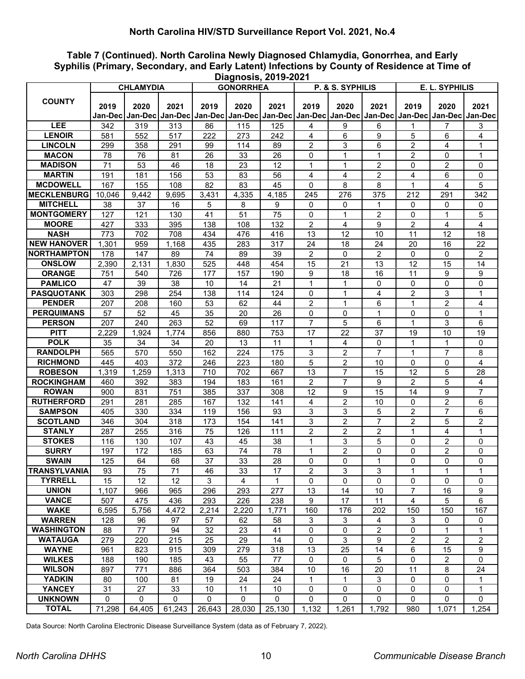**Table 7 (Continued). North Carolina Newly Diagnosed Chlamydia, Gonorrhea, and Early Syphilis (Primary, Secondary, and Early Latent) Infections by County of Residence at Time of Diagnosis, 2019-2021**

|                     |             | <b>CHLAMYDIA</b> |        |              | <b>GONORRHEA</b> |                  |                | P. & S. SYPHILIS |                |                | E. L. SYPHILIS                                                                                                        |                |
|---------------------|-------------|------------------|--------|--------------|------------------|------------------|----------------|------------------|----------------|----------------|-----------------------------------------------------------------------------------------------------------------------|----------------|
|                     |             |                  |        |              |                  |                  |                |                  |                |                |                                                                                                                       |                |
| <b>COUNTY</b>       | 2019        | 2020             | 2021   | 2019         | 2020             | 2021             | 2019           | 2020             | 2021           | 2019           | 2020                                                                                                                  | 2021           |
|                     |             |                  |        |              |                  |                  |                |                  |                |                | Jan-Dec   Jan-Dec   Jan-Dec   Jan-Dec   Jan-Dec   Jan-Dec   Jan-Dec   Jan-Dec   Jan-Dec   Jan-Dec   Jan-Dec   Jan-Dec |                |
| <b>LEE</b>          | 342         | 319              | 313    | 86           | 115              | 125              | 4              | 9                | 6              | 1              | 7                                                                                                                     | 3              |
| <b>LENOIR</b>       | 581         | 552              | 517    | 222          | 273              | 242              | 4              | 6                | 9              | 5              | 6                                                                                                                     | 4              |
| <b>LINCOLN</b>      | 299         | 358              | 291    | 99           | 114              | 89               | $\overline{2}$ | 3                | 6              | $\overline{2}$ | 4                                                                                                                     | 1              |
| <b>MACON</b>        | 78          | 76               | 81     | 26           | 33               | 26               | $\Omega$       | $\mathbf{1}$     | $\mathbf{1}$   | $\overline{2}$ | $\Omega$                                                                                                              | $\mathbf{1}$   |
| <b>MADISON</b>      | 71          | 53               | 46     | 18           | 23               | 12               | $\mathbf{1}$   | 1                | $\overline{2}$ | 0              | $\overline{c}$                                                                                                        | $\mathbf 0$    |
| <b>MARTIN</b>       | 191         | 181              | 156    | 53           | 83               | 56               | 4              | 4                | $\overline{c}$ | 4              | 6                                                                                                                     | $\mathbf 0$    |
| <b>MCDOWELL</b>     | 167         | 155              | 108    | 82           | 83               | 45               | 0              | 8                | 8              | 1              | 4                                                                                                                     | 5              |
| <b>MECKLENBURG</b>  | 10,046      | 9,442            | 9,695  | 3,431        | 4,335            | 4,185            | 245            | 276              | 375            | 212            | 291                                                                                                                   | 342            |
| <b>MITCHELL</b>     | 38          | 37               | 16     | 5            | 8                | 9                | 0              | 0                | 1              | 0              | 0                                                                                                                     | 0              |
| <b>MONTGOMERY</b>   | 127         | 121              | 130    | 41           | 51               | 75               | $\mathbf 0$    | 1                | $\overline{c}$ | 0              | 1                                                                                                                     | 5              |
| <b>MOORE</b>        | 427         | 333              | 395    | 138          | 108              | 132              | 2              | 4                | 9              | 2              | 4                                                                                                                     | 4              |
| <b>NASH</b>         | 773         | 702              | 708    | 434          | 476              | 416              | 13             | 12               | 10             | 11             | 12                                                                                                                    | 18             |
| <b>NEW HANOVER</b>  | 1,301       | 959              | 1,168  | 435          | 283              | $\overline{3}17$ | 24             | 18               | 24             | 20             | 16                                                                                                                    | 22             |
| <b>NORTHAMPTON</b>  | 178         | 147              | 89     | 74           | 89               | 39               | $\overline{2}$ | 0                | $\overline{2}$ | 0              | 0                                                                                                                     | 2              |
| <b>ONSLOW</b>       | 2,390       | 2,131            | 1,830  | 525          | 448              | 454              | 15             | 21               | 13             | 12             | 15                                                                                                                    | 14             |
| <b>ORANGE</b>       | 751         | 540              | 726    | 177          | 157              | 190              | 9              | 18               | 16             | 11             | 9                                                                                                                     | 9              |
| <b>PAMLICO</b>      | 47          | 39               | 38     | 10           | 14               | 21               | $\mathbf{1}$   | 1                | 0              | 0              | $\mathbf 0$                                                                                                           | $\mathbf 0$    |
| <b>PASQUOTANK</b>   | 303         | 298              | 254    | 138          | 114              | 124              | $\mathbf 0$    | 1                | $\overline{4}$ | $\overline{c}$ | 3                                                                                                                     | $\mathbf 1$    |
| <b>PENDER</b>       | 207         | 208              | 160    | 53           | 62               | 44               | $\overline{2}$ | $\mathbf{1}$     | 6              | 1              | $\overline{c}$                                                                                                        | 4              |
| <b>PERQUIMANS</b>   | 57          | 52               | 45     | 35           | 20               | 26               | $\mathbf 0$    | 0                | 1              | 0              | 0                                                                                                                     | 1              |
| <b>PERSON</b>       | 207         | 240              | 263    | 52           | 69               | 117              | $\overline{7}$ | 5                | 6              | $\mathbf 1$    | 3                                                                                                                     | 6              |
| <b>PITT</b>         | 2,229       | 1,924            | 1,774  | 856          | 880              | 753              | 17             | 22               | 37             | 19             | 10                                                                                                                    | 19             |
| <b>POLK</b>         | 35          | 34               | 34     | 20           | 13               | 11               | $\mathbf{1}$   | 4                | 0              | 1              | 1                                                                                                                     | 0              |
| <b>RANDOLPH</b>     | 565         | 570              | 550    | 162          | 224              | 175              | 3              | 2                | $\overline{7}$ | 1              | 7                                                                                                                     | 8              |
| <b>RICHMOND</b>     | 445         | 403              | 372    | 246          | 223              | 180              | $\overline{5}$ | $\overline{c}$   | 10             | 0              | $\Omega$                                                                                                              | $\overline{4}$ |
| <b>ROBESON</b>      | 1,319       | 1,259            | 1,313  | 710          | 702              | 667              | 13             | 7                | 15             | 12             | 5                                                                                                                     | 28             |
| <b>ROCKINGHAM</b>   | 460         | 392              | 383    | 194          | 183              | 161              | $\overline{2}$ | $\overline{7}$   | 9              | $\overline{2}$ | 5                                                                                                                     | 4              |
| <b>ROWAN</b>        | 900         | 831              | 751    | 385          | 337              | 308              | 12             | 9                | 15             | 14             | 9                                                                                                                     | $\overline{7}$ |
| <b>RUTHERFORD</b>   | 291         | 281              | 285    | 167          | 132              | 141              | 4              | $\overline{c}$   | 10             | 0              | $\overline{c}$                                                                                                        | 6              |
| <b>SAMPSON</b>      | 405         | 330              | 334    | 119          | 156              | 93               | 3              | 3                | 5              | $\overline{c}$ | 7                                                                                                                     | 6              |
| <b>SCOTLAND</b>     | 346         | 304              | 318    | 173          | 154              | 141              | 3              | $\overline{c}$   | $\overline{7}$ | $\overline{2}$ | 5                                                                                                                     | $\overline{c}$ |
| <b>STANLY</b>       | 287         | 255              | 316    | 75           | 126              | 111              | $\overline{2}$ | 2                | $\overline{2}$ | 1              | 4                                                                                                                     | 1              |
| <b>STOKES</b>       | 116         | 130              | 107    | 43           | 45               | 38               | 1              | 3                | 5              | 0              | 2                                                                                                                     | 0              |
| <b>SURRY</b>        | 197         | 172              | 185    | 63           | 74               | 78               | 1              | $\overline{c}$   | 0              | 0              | $\overline{c}$                                                                                                        | $\mathbf 0$    |
| <b>SWAIN</b>        | 125         | 64               | 68     | 37           | 33               | 28               | $\mathbf 0$    | 0                | 1              | 0              | $\Omega$                                                                                                              | $\mathbf{0}$   |
| <b>TRANSYLVANIA</b> | 93          | 75               | 71     | 46           | 33               | 17               | 2              | 3                | 3              | 1              | 1                                                                                                                     | 1              |
| <b>TYRRELL</b>      | 15          | 12               | 12     | 3            | 4                | 1                | $\Omega$       | $\Omega$         | $\mathbf 0$    | $\Omega$       | $\Omega$                                                                                                              | $\mathbf{0}$   |
| <b>UNION</b>        | 1,107       | 966              | 965    | 296          | 293              | 277              | 13             | 14               | 10             | $\overline{7}$ | 16                                                                                                                    | 9              |
| <b>VANCE</b>        | 507         | 475              | 436    | 293          | 226              | 238              | 9              | 17               | 11             | 4              | 5                                                                                                                     | 6              |
| <b>WAKE</b>         | 6,595       | 5,756            | 4,472  | 2,214        | 2,220            | 1,771            | 160            | 176              | 202            | 150            | 150                                                                                                                   | 167            |
| <b>WARREN</b>       | 128         | 96               | 97     | 57           | 62               | 58               | 3              | $\mathbf{3}$     | 4              | 3              | 0                                                                                                                     | 0              |
| <b>WASHINGTON</b>   | 88          | 77               | 94     | 32           | 23               | 41               | $\mathbf 0$    | 0                | $\overline{c}$ | 0              | 1                                                                                                                     | $\mathbf{1}$   |
| <b>WATAUGA</b>      | 279         | 220              | 215    | 25           | 29               | 14               | $\mathbf 0$    | 3                | 9              | $\overline{a}$ | $\overline{2}$                                                                                                        | $\overline{c}$ |
| <b>WAYNE</b>        | 961         | 823              | 915    | 309          | 279              | 318              | 13             | 25               | 14             | 6              | 15                                                                                                                    | 9              |
| <b>WILKES</b>       | 188         | 190              | 185    | 43           | 55               | 77               | 0              | 0                | 5              | 0              | 2                                                                                                                     | $\mathbf 0$    |
| <b>WILSON</b>       | 897         | 771              | 886    | 364          | 503              | 384              | 10             | 16               | 20             | 11             | 8                                                                                                                     | 24             |
| <b>YADKIN</b>       | 80          | 100              | 81     | 19           | 24               | 24               | 1              | 1                | 3              | 0              | 0                                                                                                                     | 1              |
| <b>YANCEY</b>       | 31          | 27               | 33     | 10           | 11               | 10               | 0              | 0                | 0              | $\mathbf 0$    | 0                                                                                                                     | 1              |
| <b>UNKNOWN</b>      | $\mathbf 0$ | $\mathbf{0}$     | 0      | $\mathbf{0}$ | $\mathbf{0}$     | 0                | $\mathbf 0$    | 0                | $\Omega$       | 0              | 0                                                                                                                     | $\mathbf 0$    |
| <b>TOTAL</b>        | 71,298      | 64,405           | 61,243 | 26,643       | 28,030           | 25,130           | 1,132          | 1,261            | 1,792          | 980            | 1,071                                                                                                                 | 1,254          |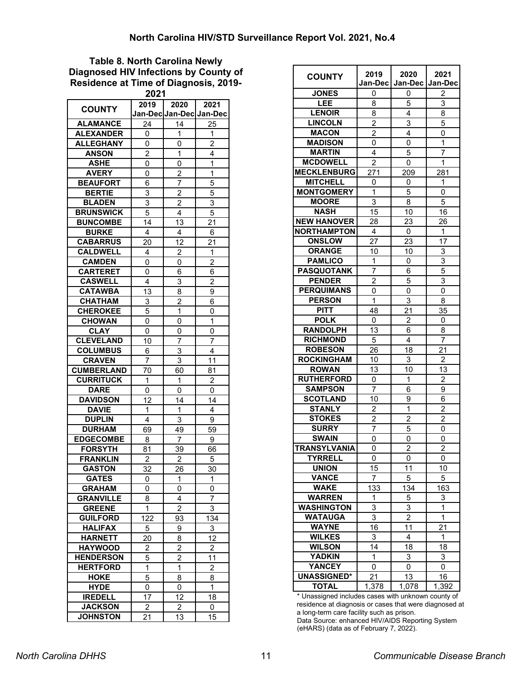#### **Table 8. North Carolina Newly Diagnosed HIV Infections by County of Residence at Time of Diagnosis, 2019- 2021**

| <b>COUNTY</b>     | 2019             | 2020<br>Jan-Dec Jan-Dec | 2021<br>Jan-Dec |
|-------------------|------------------|-------------------------|-----------------|
| <b>ALAMANCE</b>   | 24               | 14                      |                 |
|                   |                  |                         | 25              |
| <b>ALEXANDER</b>  | 0                | 1                       | 1               |
| <b>ALLEGHANY</b>  | 0                | 0                       | $\overline{2}$  |
| <b>ANSON</b>      | $\overline{2}$   | 1                       | 4               |
| <b>ASHE</b>       | 0                | 0                       | 1               |
| <b>AVERY</b>      | 0                | $\overline{c}$          | 1               |
| <b>BEAUFORT</b>   | 6                | 7                       | 5               |
| <b>BERTIE</b>     | 3                | $\overline{2}$          | $\overline{5}$  |
| <b>BLADEN</b>     | 3                | $\overline{c}$          | 3               |
| <b>BRUNSWICK</b>  | 5                | 4                       | 5               |
| <b>BUNCOMBE</b>   | 14               | 13                      | 21              |
| <b>BURKE</b>      | 4                | 4                       | 6               |
| <b>CABARRUS</b>   | 20               | 12                      | 21              |
| <b>CALDWELL</b>   | 4                | $\overline{2}$          | 1               |
| <b>CAMDEN</b>     | 0                | 0                       | $\overline{c}$  |
| <b>CARTERET</b>   | 0                | 6                       | 6               |
| <b>CASWELL</b>    | 4                | 3                       | $\overline{2}$  |
| <b>CATAWBA</b>    | 13               | 8                       | 9               |
| <b>CHATHAM</b>    | 3                | $\overline{c}$          | 6               |
| <b>CHEROKEE</b>   | 5                | 1                       | 0               |
| <b>CHOWAN</b>     | 0                | 0                       | 1               |
| <b>CLAY</b>       | 0                | 0                       | 0               |
| <b>CLEVELAND</b>  |                  |                         |                 |
|                   | 10               | 7                       | 7               |
| <b>COLUMBUS</b>   | 6                | 3                       | 4               |
| <b>CRAVEN</b>     | 7                | 3                       | 11              |
| <b>CUMBERLAND</b> | 70               | 60                      | 81              |
| <b>CURRITUCK</b>  | 1                | 1                       | $\overline{c}$  |
| <b>DARE</b>       | 0                | 0                       | 0               |
| <b>DAVIDSON</b>   | 12               | 14                      | 14              |
| <b>DAVIE</b>      | 1                | 1                       | 4               |
| <b>DUPLIN</b>     | 4                | 3                       | 9               |
| <b>DURHAM</b>     | 69               | 49                      | 59              |
| <b>EDGECOMBE</b>  | 8                | 7                       | 9               |
| <b>FORSYTH</b>    | 81               | 39                      | 66              |
| <b>FRANKLIN</b>   | $\overline{2}$   | $\overline{2}$          | 5               |
| <b>GASTON</b>     | 32               | 26                      | 30              |
| <b>GATES</b>      | 0                | 1                       | 1               |
| <b>GRAHAM</b>     | 0                | 0                       | 0               |
| <b>GRANVILLE</b>  | 8                | 4                       | 7               |
| <b>GREENE</b>     | 1                | $\overline{c}$          | 3               |
| <b>GUILFORD</b>   | $\overline{1}22$ | 93                      | 134             |
| <b>HALIFAX</b>    | 5                | 9                       | 3               |
| <b>HARNETT</b>    | 20               | 8                       | 12              |
| <b>HAYWOOD</b>    | $\overline{2}$   | $\overline{2}$          | $\overline{2}$  |
| <b>HENDERSON</b>  | 5                | $\overline{2}$          | 11              |
| <b>HERTFORD</b>   | 1                | $\mathbf{1}$            | $\overline{c}$  |
| HOKE              | 5                | 8                       | 8               |
| <b>HYDE</b>       | 0                | 0                       | 1               |
| <b>IREDELL</b>    | 17               | 12                      | 18              |
| <b>JACKSON</b>    | $\overline{c}$   | $\overline{2}$          | 0               |
| <b>JOHNSTON</b>   | 21               | 13                      | 15              |

| <b>COUNTY</b>      | 2019<br>Jan-Dec | 2020<br>Jan-Dec | 2021<br>Jan-Dec         |
|--------------------|-----------------|-----------------|-------------------------|
| <b>JONES</b>       | 0               | 0               | 2                       |
| LEE                | 8               | 5               | 3                       |
| <b>LENOIR</b>      | 8               | 4               | 8                       |
| <b>LINCOLN</b>     | $\overline{c}$  | 3               | 5                       |
| <b>MACON</b>       | $\overline{2}$  | 4               | 0                       |
| <b>MADISON</b>     | 0               | 0               | 1                       |
| <b>MARTIN</b>      | 4               | 5               | 7                       |
| <b>MCDOWELL</b>    | $\overline{2}$  | 0               | 1                       |
| <b>MECKLENBURG</b> | 271             | 209             | 281                     |
| <b>MITCHELL</b>    | 0               | 0               | 1                       |
| <b>MONTGOMERY</b>  | 1               | 5               | 0                       |
| <b>MOORE</b>       | 3               | 8               | 5                       |
| <b>NASH</b>        | 15              | 10              | 16                      |
| <b>NEW HANOVER</b> |                 |                 |                         |
| <b>NORTHAMPTON</b> | 28<br>4         | 23              | 26<br>1                 |
| <b>ONSLOW</b>      |                 | 0               |                         |
|                    | 27              | 23              | 17                      |
| <b>ORANGE</b>      | 10              | 10              | 3                       |
| <b>PAMLICO</b>     | 1               | 0               | 3                       |
| <b>PASQUOTANK</b>  | 7               | 6               | 5                       |
| <b>PENDER</b>      | $\overline{c}$  | 5               | $\overline{3}$          |
| <b>PERQUIMANS</b>  | 0               | 0               | 0                       |
| <b>PERSON</b>      | 1               | 3               | 8                       |
| <b>PITT</b>        | 48              | 21              | 35                      |
| <b>POLK</b>        | 0               | $\overline{c}$  | 0                       |
| <b>RANDOLPH</b>    | 13              | 6               | 8                       |
| <b>RICHMOND</b>    | 5               | $\overline{4}$  | $\overline{7}$          |
| <b>ROBESON</b>     | 26              | 18              | 21                      |
| <b>ROCKINGHAM</b>  | 10              | 3               | $\overline{2}$          |
| <b>ROWAN</b>       | 13              | 10              | 13                      |
| <b>RUTHERFORD</b>  | 0               | 1               | $\overline{\mathbf{c}}$ |
| <b>SAMPSON</b>     | 7               | 6               | 9                       |
| <b>SCOTLAND</b>    | 10              | 9               | 6                       |
| <b>STANLY</b>      | $\overline{2}$  | 1               | $\overline{c}$          |
| <b>STOKES</b>      | $\overline{2}$  | $\overline{c}$  | $\overline{2}$          |
| <b>SURRY</b>       | 7               | 5               | 0                       |
| <b>SWAIN</b>       | 0               | 0               | 0                       |
| TRANSYLVANIA       | 0               | $\overline{c}$  | $\overline{c}$          |
| <b>TYRRELL</b>     | 0               | 0               | 0                       |
| <b>UNION</b>       | 15              | 11              | 10                      |
| <b>VANCE</b>       | 7               | 5               | 5                       |
| <b>WAKE</b>        | 133             | 134             | 163                     |
| <b>WARREN</b>      | 1               | $\overline{5}$  | <u>3</u>                |
| <b>WASHINGTON</b>  | 3               | 3               | 1                       |
| <b>WATAUGA</b>     | 3               | $\overline{2}$  | $\overline{1}$          |
| WAYNE              | 16              | 11              | 21                      |
| <b>WILKES</b>      | 3               | 4               | 1                       |
| <b>WILSON</b>      | 14              | 18              | 18                      |
| YADKIN             | 1               | $\overline{3}$  | 3                       |
| <b>YANCEY</b>      | 0               | 0               | 0                       |
| <b>UNASSIGNED*</b> | 21              | $\overline{13}$ | 16                      |
| <b>TOTAL</b>       | 1,378           | 1,078           | $\overline{1,}392$      |

\* Unassigned includes cases with unknown county of residence at diagnosis or cases that were diagnosed at a long-term care facility such as prison.

Data Source: enhanced HIV/AIDS Reporting System (eHARS) (data as of February 7, 2022).